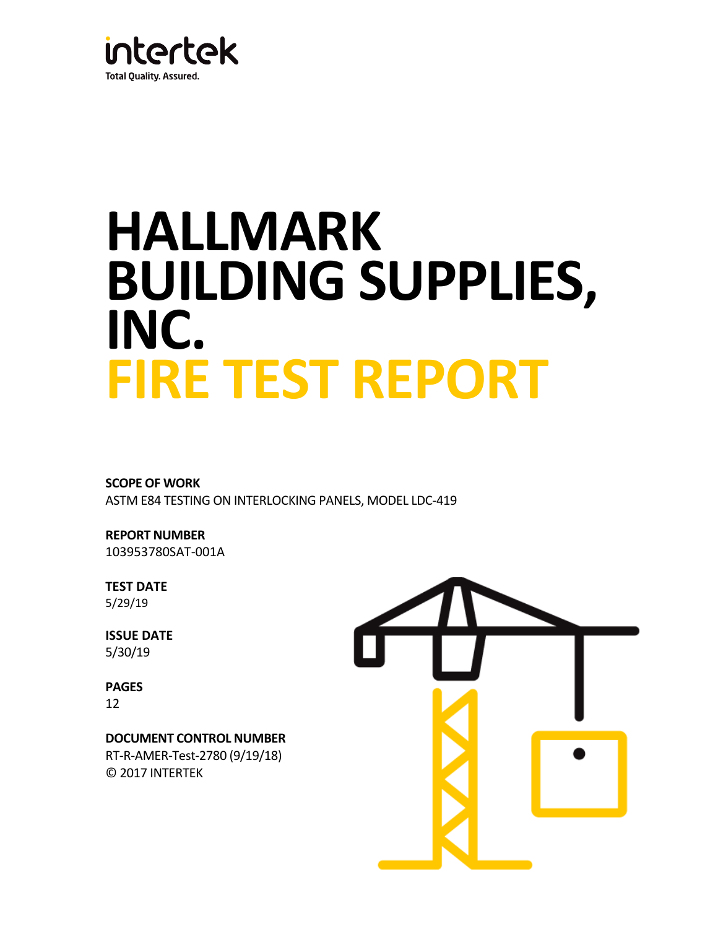

# **HALLMARK BUILDING SUPPLIES, INC. FIRE TEST REPORT**

## **SCOPE OF WORK**

ASTM E84 TESTING ON INTERLOCKING PANELS, MODEL LDC-419

**REPORT NUMBER** 103953780SAT-001A

**TEST DATE** 5/29/19

**ISSUE DATE** 5/30/19

**PAGES** 12

**DOCUMENT CONTROL NUMBER** RT-R-AMER-Test-2780 (9/19/18) © 2017 INTERTEK

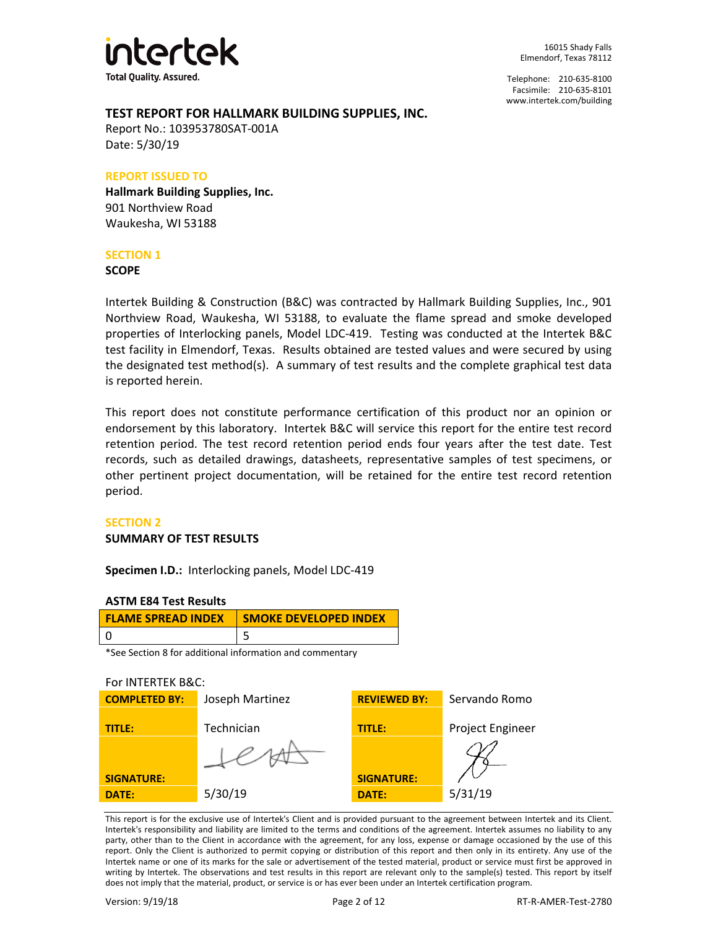

Telephone: 210-635-8100 Facsimile: 210-635-8101 [www.intertek.com/building](http://www.intertek.com/building)

#### **TEST REPORT FOR HALLMARK BUILDING SUPPLIES, INC.**

Report No.: 103953780SAT-001A Date: 5/30/19

#### **REPORT ISSUED TO**

**Hallmark Building Supplies, Inc.** 901 Northview Road Waukesha, WI 53188

#### **SECTION 1**

**SCOPE**

Intertek Building & Construction (B&C) was contracted by Hallmark Building Supplies, Inc., 901 Northview Road, Waukesha, WI 53188, to evaluate the flame spread and smoke developed properties of Interlocking panels, Model LDC-419. Testing was conducted at the Intertek B&C test facility in Elmendorf, Texas. Results obtained are tested values and were secured by using the designated test method(s). A summary of test results and the complete graphical test data is reported herein.

This report does not constitute performance certification of this product nor an opinion or endorsement by this laboratory. Intertek B&C will service this report for the entire test record retention period. The test record retention period ends four years after the test date. Test records, such as detailed drawings, datasheets, representative samples of test specimens, or other pertinent project documentation, will be retained for the entire test record retention period.

#### **SECTION 2**

#### **SUMMARY OF TEST RESULTS**

**Specimen I.D.:** Interlocking panels, Model LDC-419

#### **ASTM E84 Test Results**

| <b>FLAME SPREAD INDEX</b> | <b>SMOKE DEVELOPED INDEX</b> |  |
|---------------------------|------------------------------|--|
|                           |                              |  |

\*See Section 8 for additional information and commentary

#### For INTERTEK B&C:

| <b>COMPLETED BY:</b> | Joseph Martinez | <b>REVIEWED BY:</b> | Servando Romo           |
|----------------------|-----------------|---------------------|-------------------------|
| TITLE:               | Technician      | <b>TITLE:</b>       | <b>Project Engineer</b> |
|                      |                 |                     |                         |
| <b>SIGNATURE:</b>    |                 | <b>SIGNATURE:</b>   |                         |
| DATE:                | 5/30/19         | <b>DATE:</b>        | 5/31/19                 |

This report is for the exclusive use of Intertek's Client and is provided pursuant to the agreement between Intertek and its Client. Intertek's responsibility and liability are limited to the terms and conditions of the agreement. Intertek assumes no liability to any party, other than to the Client in accordance with the agreement, for any loss, expense or damage occasioned by the use of this report. Only the Client is authorized to permit copying or distribution of this report and then only in its entirety. Any use of the Intertek name or one of its marks for the sale or advertisement of the tested material, product or service must first be approved in writing by Intertek. The observations and test results in this report are relevant only to the sample(s) tested. This report by itself does not imply that the material, product, or service is or has ever been under an Intertek certification program.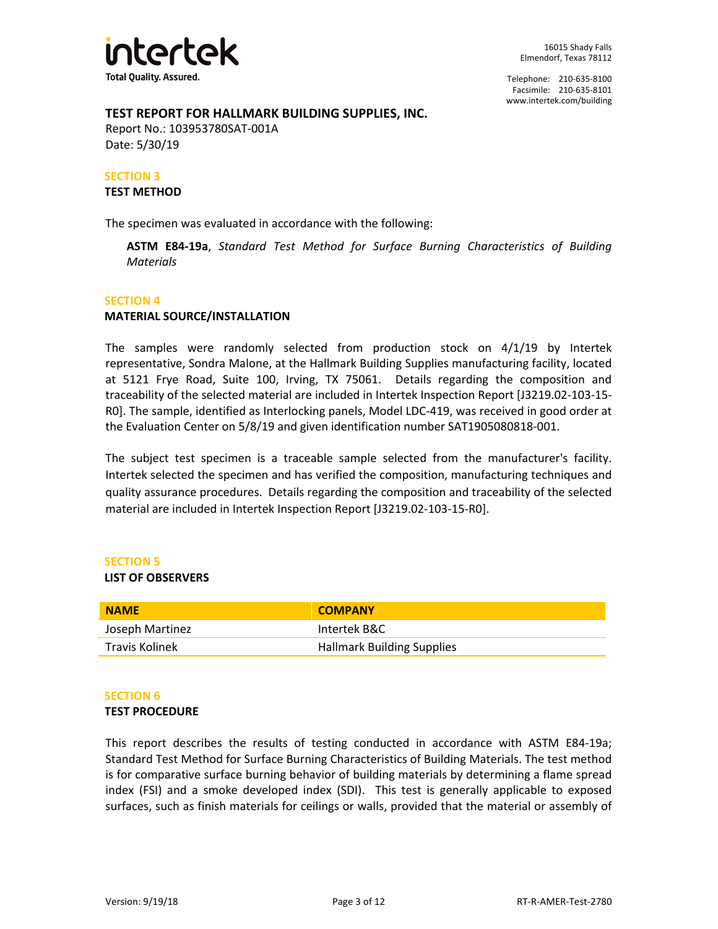

#### **TEST REPORT FOR HALLMARK BUILDING SUPPLIES, INC.**

Report No.: 103953780SAT-001A Date: 5/30/19

#### **SECTION 3**

#### **TEST METHOD**

The specimen was evaluated in accordance with the following:

**ASTM E84-19a**, *Standard Test Method for Surface Burning Characteristics of Building Materials*

#### **SECTION 4**

#### **MATERIAL SOURCE/INSTALLATION**

The samples were randomly selected from production stock on 4/1/19 by Intertek representative, Sondra Malone, at the Hallmark Building Supplies manufacturing facility, located at 5121 Frye Road, Suite 100, Irving, TX 75061. Details regarding the composition and traceability of the selected material are included in Intertek Inspection Report [J3219.02-103-15- R0]. The sample, identified as Interlocking panels, Model LDC-419, was received in good order at the Evaluation Center on 5/8/19 and given identification number SAT1905080818-001.

The subject test specimen is a traceable sample selected from the manufacturer's facility. Intertek selected the specimen and has verified the composition, manufacturing techniques and quality assurance procedures. Details regarding the composition and traceability of the selected material are included in Intertek Inspection Report [J3219.02-103-15-R0].

#### **SECTION 5**

#### **LIST OF OBSERVERS**

| <b>NAME</b>     | <b>COMPANY</b>                    |
|-----------------|-----------------------------------|
| Joseph Martinez | Intertek B&C                      |
| Travis Kolinek  | <b>Hallmark Building Supplies</b> |

#### **SECTION 6**

#### **TEST PROCEDURE**

This report describes the results of testing conducted in accordance with ASTM E84-19a; Standard Test Method for Surface Burning Characteristics of Building Materials. The test method is for comparative surface burning behavior of building materials by determining a flame spread index (FSI) and a smoke developed index (SDI). This test is generally applicable to exposed surfaces, such as finish materials for ceilings or walls, provided that the material or assembly of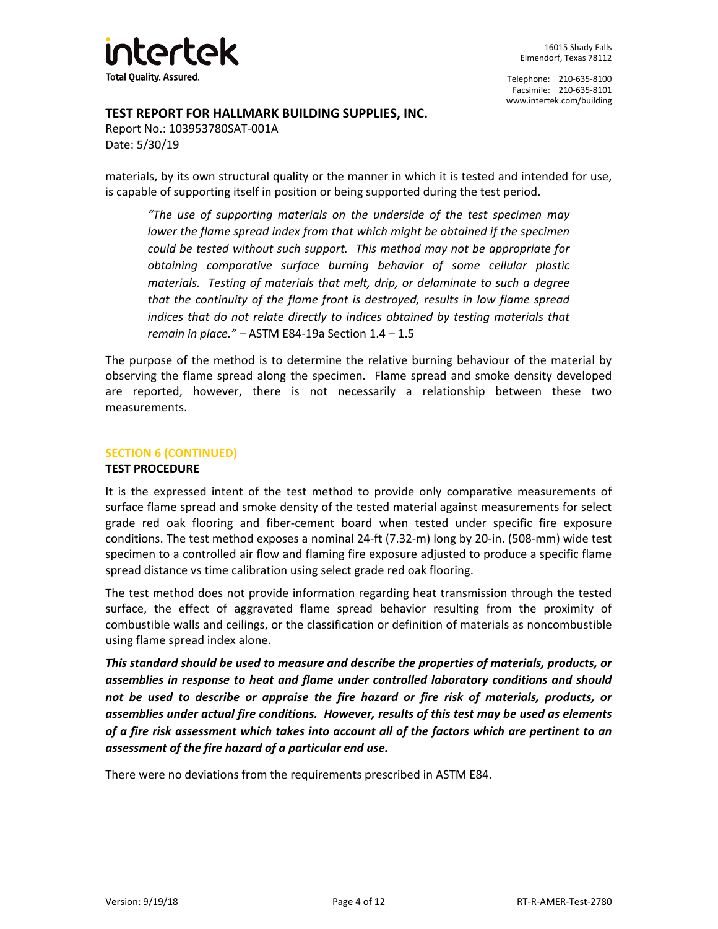

#### **TEST REPORT FOR HALLMARK BUILDING SUPPLIES, INC.**

Report No.: 103953780SAT-001A Date: 5/30/19

materials, by its own structural quality or the manner in which it is tested and intended for use, is capable of supporting itself in position or being supported during the test period.

*"The use of supporting materials on the underside of the test specimen may lower the flame spread index from that which might be obtained if the specimen could be tested without such support. This method may not be appropriate for obtaining comparative surface burning behavior of some cellular plastic materials. Testing of materials that melt, drip, or delaminate to such a degree that the continuity of the flame front is destroyed, results in low flame spread indices that do not relate directly to indices obtained by testing materials that remain in place." –* ASTM E84-19a Section 1.4 – 1.5

The purpose of the method is to determine the relative burning behaviour of the material by observing the flame spread along the specimen. Flame spread and smoke density developed are reported, however, there is not necessarily a relationship between these two measurements.

#### **SECTION 6 (CONTINUED)**

#### **TEST PROCEDURE**

It is the expressed intent of the test method to provide only comparative measurements of surface flame spread and smoke density of the tested material against measurements for select grade red oak flooring and fiber-cement board when tested under specific fire exposure conditions. The test method exposes a nominal 24-ft (7.32-m) long by 20-in. (508-mm) wide test specimen to a controlled air flow and flaming fire exposure adjusted to produce a specific flame spread distance vs time calibration using select grade red oak flooring.

The test method does not provide information regarding heat transmission through the tested surface, the effect of aggravated flame spread behavior resulting from the proximity of combustible walls and ceilings, or the classification or definition of materials as noncombustible using flame spread index alone.

*This standard should be used to measure and describe the properties of materials, products, or assemblies in response to heat and flame under controlled laboratory conditions and should not be used to describe or appraise the fire hazard or fire risk of materials, products, or assemblies under actual fire conditions. However, results of this test may be used as elements of a fire risk assessment which takes into account all of the factors which are pertinent to an assessment of the fire hazard of a particular end use.*

There were no deviations from the requirements prescribed in ASTM E84.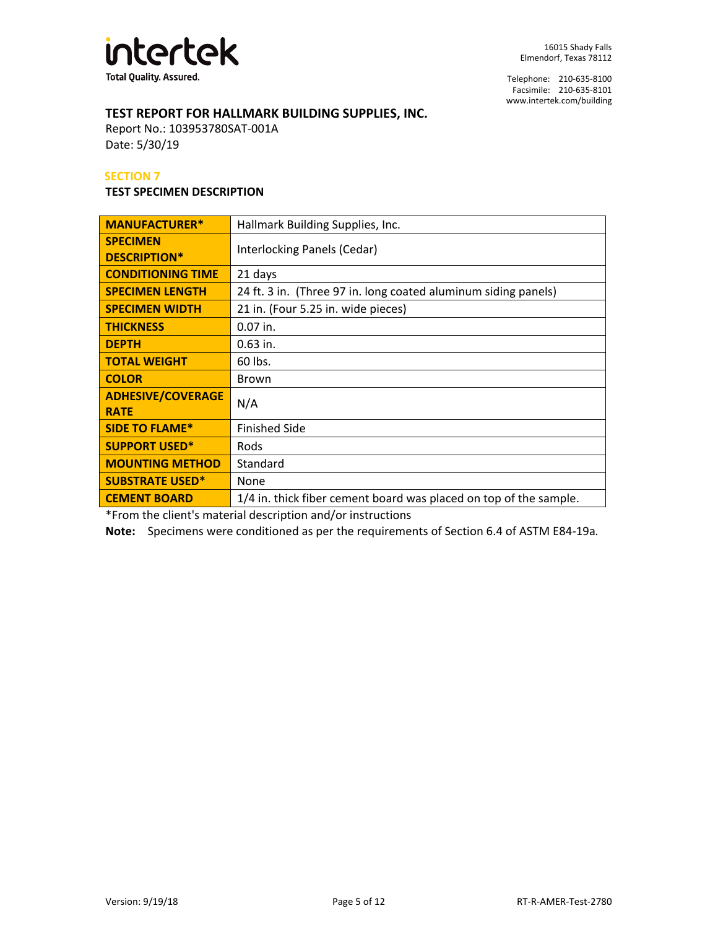

## **TEST REPORT FOR HALLMARK BUILDING SUPPLIES, INC.**

Report No.: 103953780SAT-001A Date: 5/30/19

#### **SECTION 7**

#### **TEST SPECIMEN DESCRIPTION**

| <b>MANUFACTURER*</b>                    | Hallmark Building Supplies, Inc.                                  |  |
|-----------------------------------------|-------------------------------------------------------------------|--|
| <b>SPECIMEN</b><br><b>DESCRIPTION*</b>  | Interlocking Panels (Cedar)                                       |  |
| <b>CONDITIONING TIME</b>                | 21 days                                                           |  |
| <b>SPECIMEN LENGTH</b>                  | 24 ft. 3 in. (Three 97 in. long coated aluminum siding panels)    |  |
| <b>SPECIMEN WIDTH</b>                   | 21 in. (Four 5.25 in. wide pieces)                                |  |
| <b>THICKNESS</b>                        | $0.07$ in.                                                        |  |
| <b>DEPTH</b>                            | $0.63$ in.                                                        |  |
| <b>TOTAL WEIGHT</b>                     | 60 lbs.                                                           |  |
| <b>COLOR</b>                            | <b>Brown</b>                                                      |  |
| <b>ADHESIVE/COVERAGE</b><br><b>RATE</b> | N/A                                                               |  |
| <b>SIDE TO FLAME*</b>                   | <b>Finished Side</b>                                              |  |
| <b>SUPPORT USED*</b>                    | Rods                                                              |  |
| <b>MOUNTING METHOD</b>                  | Standard                                                          |  |
| <b>SUBSTRATE USED*</b>                  | None                                                              |  |
| <b>CEMENT BOARD</b>                     | 1/4 in. thick fiber cement board was placed on top of the sample. |  |

\*From the client's material description and/or instructions

**Note:** Specimens were conditioned as per the requirements of Section 6.4 of ASTM E84-19a*.*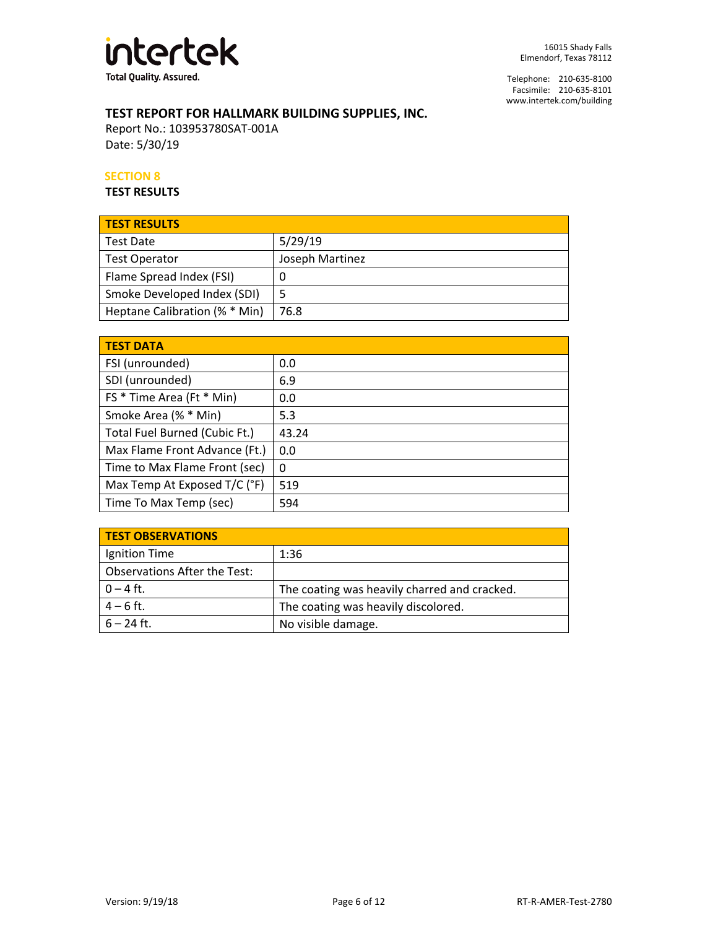

## **TEST REPORT FOR HALLMARK BUILDING SUPPLIES, INC.**

Report No.: 103953780SAT-001A Date: 5/30/19

#### **SECTION 8**

**TEST RESULTS**

| <b>TEST RESULTS</b>           |                 |
|-------------------------------|-----------------|
| Test Date                     | 5/29/19         |
| <b>Test Operator</b>          | Joseph Martinez |
| Flame Spread Index (FSI)      | Ü               |
| Smoke Developed Index (SDI)   |                 |
| Heptane Calibration (% * Min) | 76.8            |

| <b>TEST DATA</b>              |       |  |
|-------------------------------|-------|--|
| FSI (unrounded)               | 0.0   |  |
| SDI (unrounded)               | 6.9   |  |
| FS * Time Area (Ft * Min)     | 0.0   |  |
| Smoke Area (% * Min)          | 5.3   |  |
| Total Fuel Burned (Cubic Ft.) | 43.24 |  |
| Max Flame Front Advance (Ft.) | 0.0   |  |
| Time to Max Flame Front (sec) | 0     |  |
| Max Temp At Exposed T/C (°F)  | 519   |  |
| Time To Max Temp (sec)        | 594   |  |

| <b>TEST OBSERVATIONS</b>            |                                              |
|-------------------------------------|----------------------------------------------|
| Ignition Time                       | 1:36                                         |
| <b>Observations After the Test:</b> |                                              |
| $0 - 4$ ft.                         | The coating was heavily charred and cracked. |
| $4 - 6$ ft.                         | The coating was heavily discolored.          |
| $6 - 24$ ft.                        | No visible damage.                           |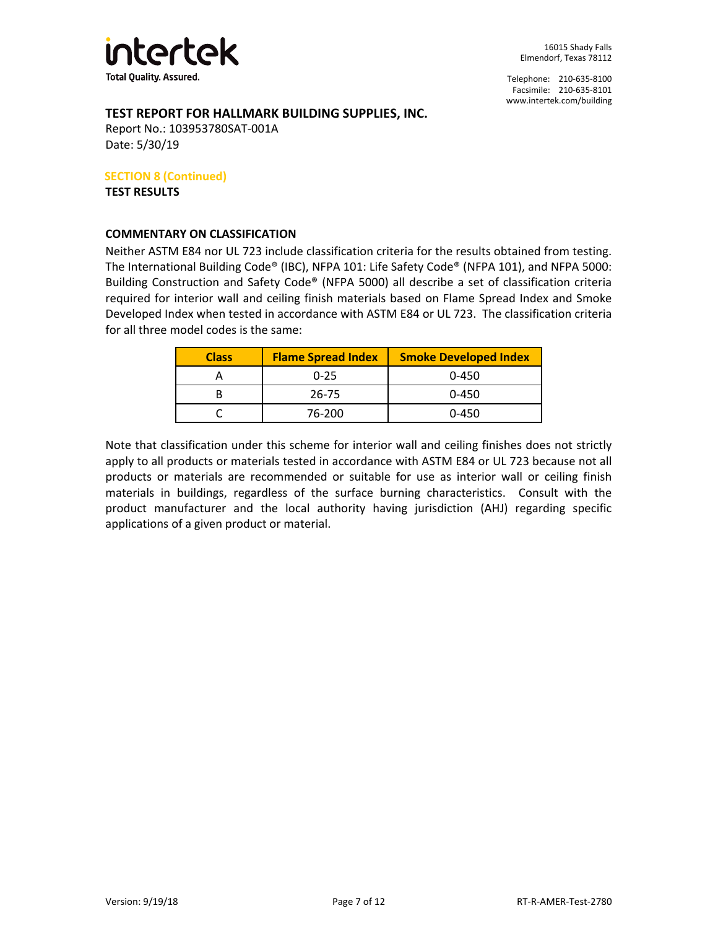

Telephone: 210-635-8100 Facsimile: 210-635-8101 [www.intertek.com/building](http://www.intertek.com/building)

#### **TEST REPORT FOR HALLMARK BUILDING SUPPLIES, INC.**

Report No.: 103953780SAT-001A Date: 5/30/19

**SECTION 8 (Continued)**

**TEST RESULTS**

#### **COMMENTARY ON CLASSIFICATION**

Neither ASTM E84 nor UL 723 include classification criteria for the results obtained from testing. The International Building Code® (IBC), NFPA 101: Life Safety Code® (NFPA 101), and NFPA 5000: Building Construction and Safety Code® (NFPA 5000) all describe a set of classification criteria required for interior wall and ceiling finish materials based on Flame Spread Index and Smoke Developed Index when tested in accordance with ASTM E84 or UL 723. The classification criteria for all three model codes is the same:

| <b>Class</b> | <b>Flame Spread Index</b> | <b>Smoke Developed Index</b> |
|--------------|---------------------------|------------------------------|
|              | $0 - 25$                  | $0 - 450$                    |
|              | 26-75                     | $0 - 450$                    |
|              | 76-200                    | $0 - 450$                    |

Note that classification under this scheme for interior wall and ceiling finishes does not strictly apply to all products or materials tested in accordance with ASTM E84 or UL 723 because not all products or materials are recommended or suitable for use as interior wall or ceiling finish materials in buildings, regardless of the surface burning characteristics. Consult with the product manufacturer and the local authority having jurisdiction (AHJ) regarding specific applications of a given product or material.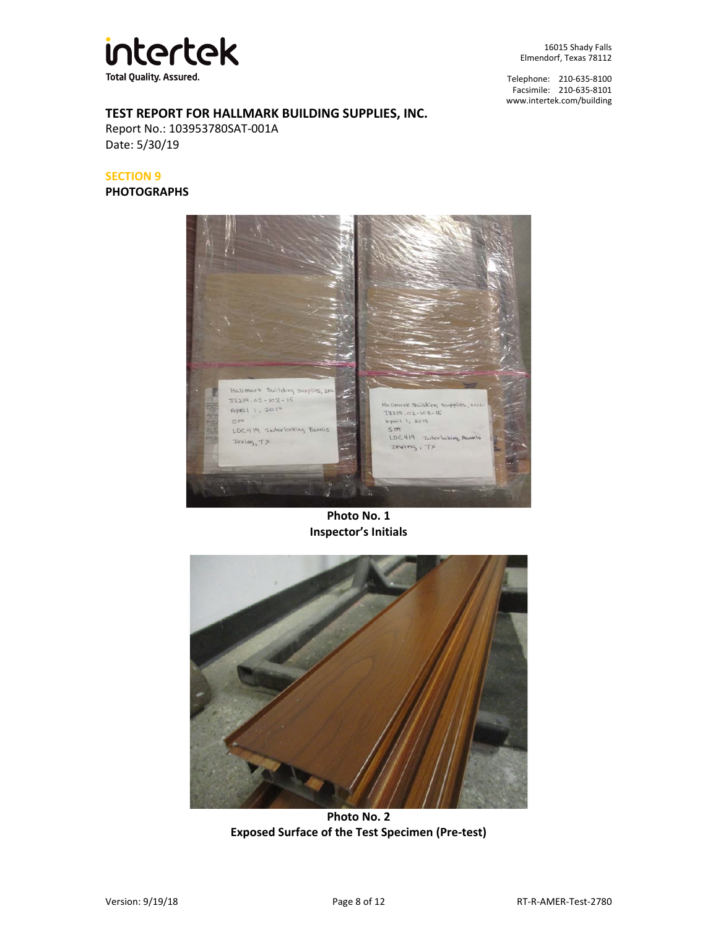

Telephone: 210-635-8100 Facsimile: 210-635-8101 [www.intertek.com/building](http://www.intertek.com/building)

## **TEST REPORT FOR HALLMARK BUILDING SUPPLIES, INC.**

Report No.: 103953780SAT-001A Date: 5/30/19

#### **SECTION 9**

**PHOTOGRAPHS**



**Photo No. 1 Inspector's Initials**



**Photo No. 2 Exposed Surface of the Test Specimen (Pre-test)**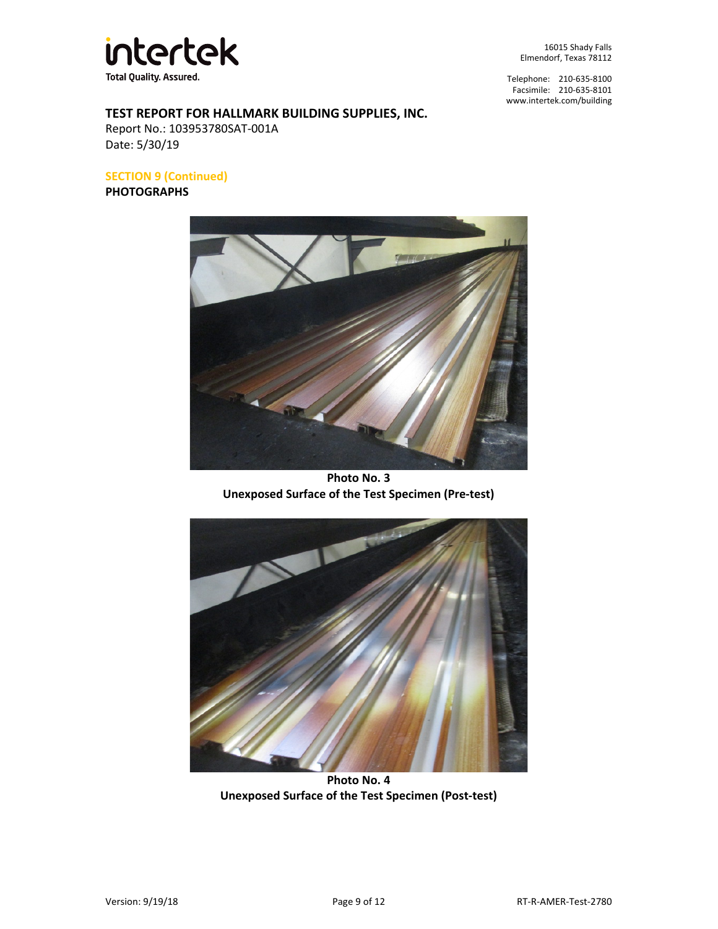

Telephone: 210-635-8100 Facsimile: 210-635-8101 [www.intertek.com/building](http://www.intertek.com/building)

### **TEST REPORT FOR HALLMARK BUILDING SUPPLIES, INC.**

Report No.: 103953780SAT-001A Date: 5/30/19

**SECTION 9 (Continued)**

**PHOTOGRAPHS**



**Photo No. 3 Unexposed Surface of the Test Specimen (Pre-test)**



**Photo No. 4 Unexposed Surface of the Test Specimen (Post-test)**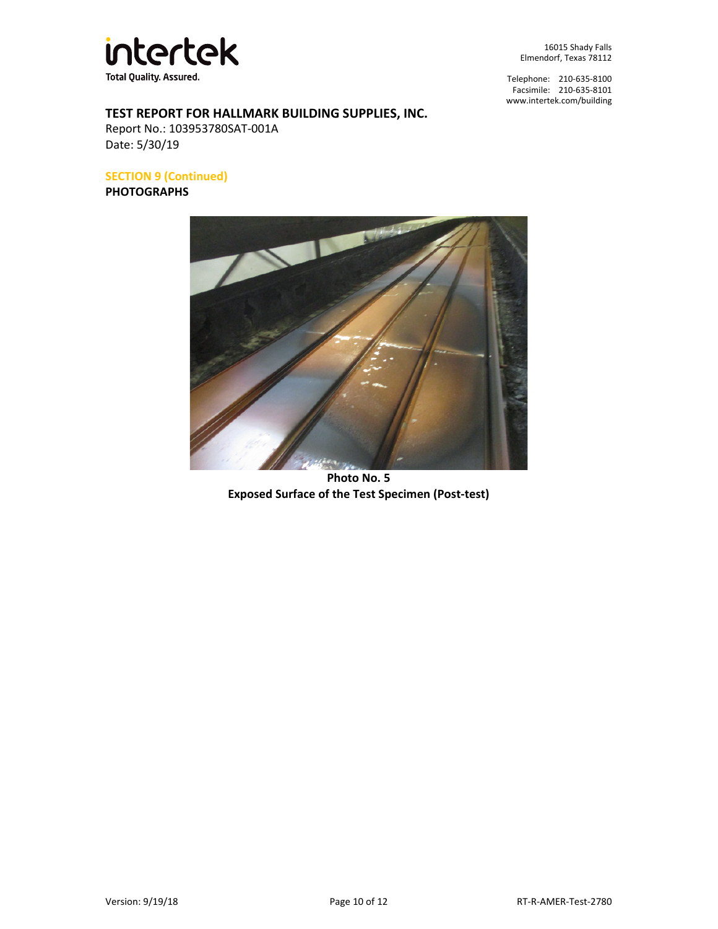

Telephone: 210-635-8100 Facsimile: 210-635-8101 [www.intertek.com/building](http://www.intertek.com/building)

# **TEST REPORT FOR HALLMARK BUILDING SUPPLIES, INC.**

Report No.: 103953780SAT-001A Date: 5/30/19

**SECTION 9 (Continued)**

**PHOTOGRAPHS**



**Photo No. 5 Exposed Surface of the Test Specimen (Post-test)**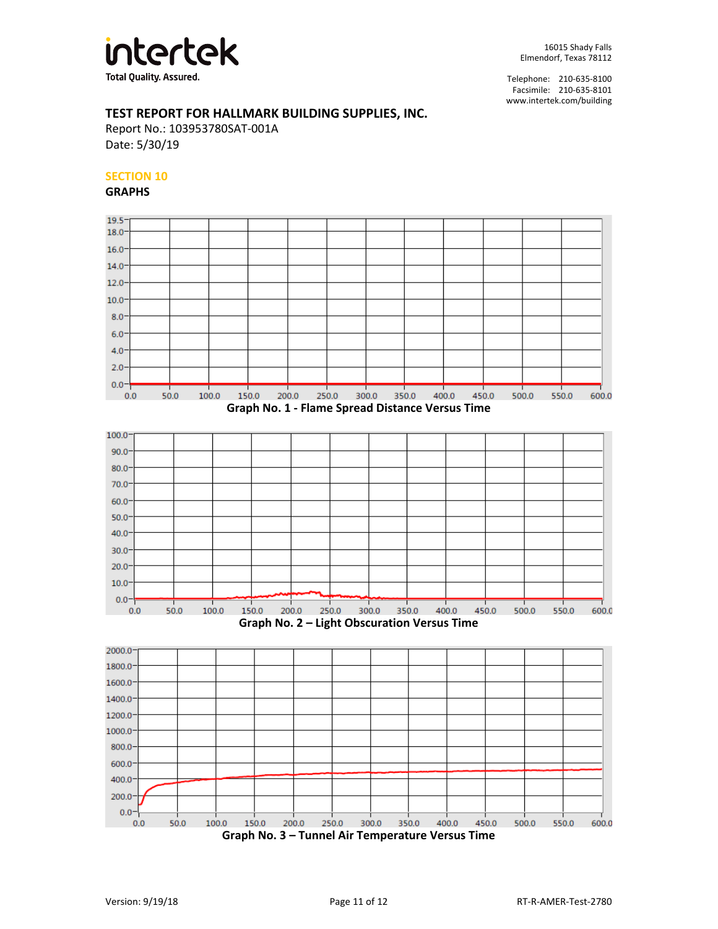

#### **TEST REPORT FOR HALLMARK BUILDING SUPPLIES, INC.**

Report No.: 103953780SAT-001A Date: 5/30/19

#### **SECTION 10**

**GRAPHS**